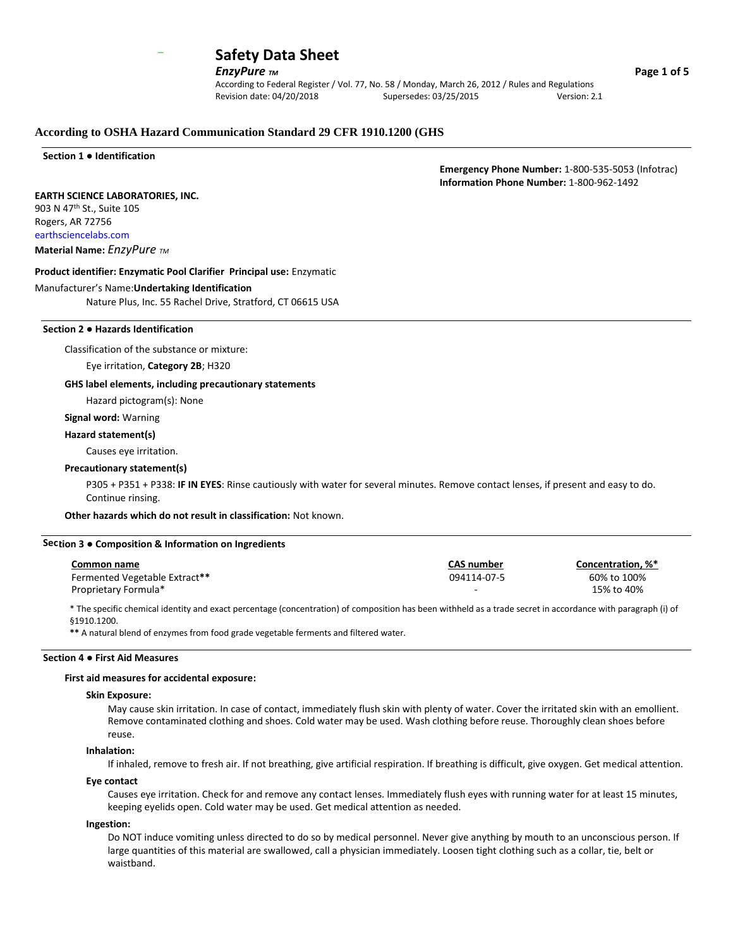

**EnzyPure** *TM* **Page 1 of 5** 

According to Federal Register / Vol. 77, No. 58 / Monday, March 26, 2012 / Rules and Regulations Revision date: 04/20/2018 Supersedes: 03/25/2015 Version: 2.1

## **According to OSHA Hazard Communication Standard 29 CFR 1910.1200 (GHS**

**Section 1 ● Identification**

 **Emergency Phone Number:** 1-800-535-5053 (Infotrac)  **Information Phone Number:** 1-800-962-1492

#### **EARTH SCIENCE LABORATORIES, INC.**

903 N 47th St., Suite 105 Rogers, AR 72756 earthsciencelabs.com **Material Name:** *EnzyPure TM*

#### **Product identifier: Enzymatic Pool Clarifier Principal use:** Enzymatic

#### Manufacturer's Name:**Undertaking Identification**

Nature Plus, Inc. 55 Rachel Drive, Stratford, CT 06615 USA

### **Section 2 ● Hazards Identification**

Classification of the substance or mixture:

Eye irritation, **Category 2B**; H320

#### **GHS label elements, including precautionary statements**

Hazard pictogram(s): None

#### **Signal word:** Warning

#### **Hazard statement(s)**

## Causes eye irritation.

## **Precautionary statement(s)**

P305 + P351 + P338: **IF IN EYES**: Rinse cautiously with water for several minutes. Remove contact lenses, if present and easy to do. Continue rinsing.

**Other hazards which do not result in classification:** Not known.

#### **Sec tion 3 ● Composition & Information on Ingredients**

| Common name                   | <b>CAS</b> number | Concentration. %* |
|-------------------------------|-------------------|-------------------|
| Fermented Vegetable Extract** | 094114-07-5       | 60% to 100%       |
| Proprietary Formula*          |                   | 15% to 40%        |

\* The specific chemical identity and exact percentage (concentration) of composition has been withheld as a trade secret in accordance with paragraph (i) of §1910.1200.

**\*\*** A natural blend of enzymes from food grade vegetable ferments and filtered water.

## **Section 4 ● First Aid Measures**

#### **First aid measures for accidental exposure:**

#### **Skin Exposure:**

May cause skin irritation. In case of contact, immediately flush skin with plenty of water. Cover the irritated skin with an emollient. Remove contaminated clothing and shoes. Cold water may be used. Wash clothing before reuse. Thoroughly clean shoes before reuse.

## **Inhalation:**

If inhaled, remove to fresh air. If not breathing, give artificial respiration. If breathing is difficult, give oxygen. Get medical attention.

## **Eye contact**

Causes eye irritation. Check for and remove any contact lenses. Immediately flush eyes with running water for at least 15 minutes, keeping eyelids open. Cold water may be used. Get medical attention as needed.

**Ingestion:**

Do NOT induce vomiting unless directed to do so by medical personnel. Never give anything by mouth to an unconscious person. If large quantities of this material are swallowed, call a physician immediately. Loosen tight clothing such as a collar, tie, belt or waistband.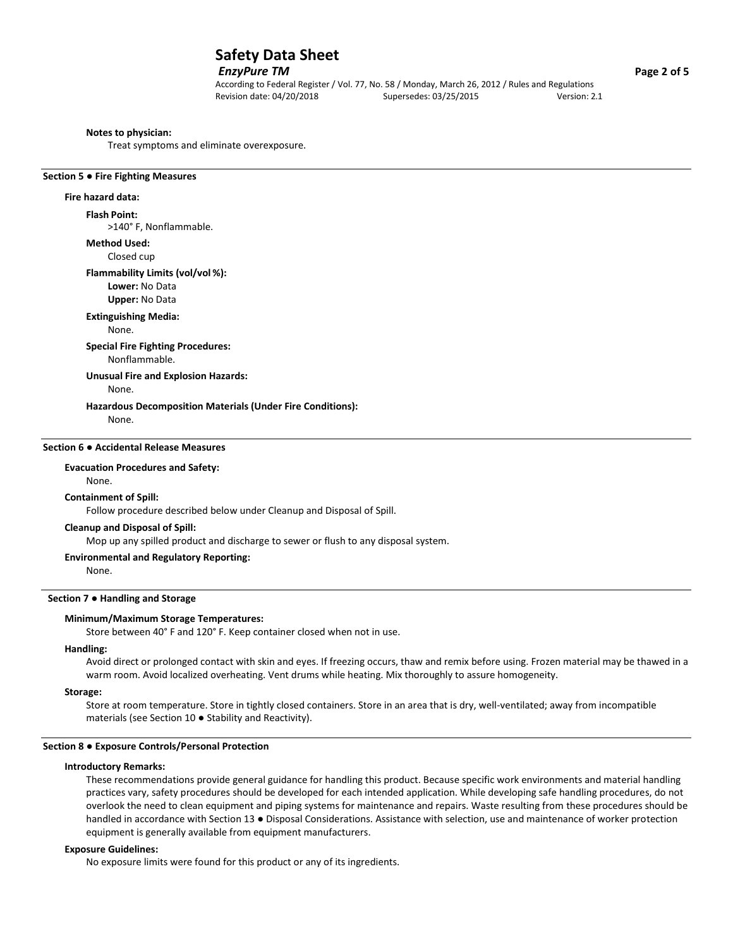## *EnzyPure TM* **Page 2 of 5**

According to Federal Register / Vol. 77, No. 58 / Monday, March 26, 2012 / Rules and Regulations Revision date: 04/20/2018 Supersedes: 03/25/2015 Version: 2.1

#### **Notes to physician:**

Treat symptoms and eliminate overexposure.

#### **Section 5 ● Fire Fighting Measures**

## **Fire hazard data:**

#### **Flash Point:**

>140° F, Nonflammable.

### **Method Used:**

Closed cup

## **Flammability Limits (vol/vol %):**

**Lower:** No Data

## **Upper:** No Data

**Extinguishing Media:**

None.

#### **Special Fire Fighting Procedures:** Nonflammable.

**Unusual Fire and Explosion Hazards:**

None.

#### **Hazardous Decomposition Materials (Under Fire Conditions):**

None.

## **Section 6 ● Accidental Release Measures**

**Evacuation Procedures and Safety:** None.

#### **Containment of Spill:**

Follow procedure described below under Cleanup and Disposal of Spill.

#### **Cleanup and Disposal of Spill:**

Mop up any spilled product and discharge to sewer or flush to any disposal system.

#### **Environmental and Regulatory Reporting:**

None.

## **Section 7 ● Handling and Storage**

#### **Minimum/Maximum Storage Temperatures:**

Store between 40° F and 120° F. Keep container closed when not in use.

#### **Handling:**

Avoid direct or prolonged contact with skin and eyes. If freezing occurs, thaw and remix before using. Frozen material may be thawed in a warm room. Avoid localized overheating. Vent drums while heating. Mix thoroughly to assure homogeneity.

#### **Storage:**

Store at room temperature. Store in tightly closed containers. Store in an area that is dry, well-ventilated; away from incompatible materials (see Section 10 **●** Stability and Reactivity).

#### **Section 8 ● Exposure Controls/Personal Protection**

#### **Introductory Remarks:**

These recommendations provide general guidance for handling this product. Because specific work environments and material handling practices vary, safety procedures should be developed for each intended application. While developing safe handling procedures, do not overlook the need to clean equipment and piping systems for maintenance and repairs. Waste resulting from these procedures should be handled in accordance with Section 13 · Disposal Considerations. Assistance with selection, use and maintenance of worker protection equipment is generally available from equipment manufacturers.

#### **Exposure Guidelines:**

No exposure limits were found for this product or any of its ingredients.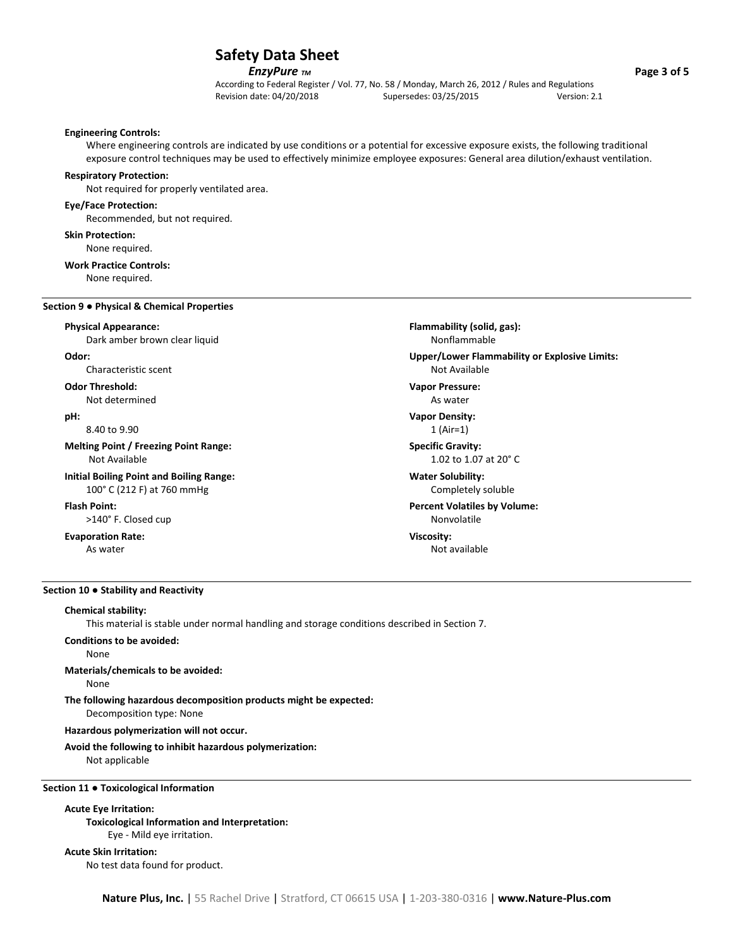## *EnzyPure**TM* **<b>***Page 3 of 5*

According to Federal Register / Vol. 77, No. 58 / Monday, March 26, 2012 / Rules and Regulations Revision date: 04/20/2018 Supersedes: 03/25/2015 Version: 2.1

> **Flammability (solid, gas):** Nonflammable

Not Available **Vapor Pressure:** As water **Vapor Density:** 1 (Air=1) **Specific Gravity:**

1.02 to 1.07 at 20° C

Completely soluble **Percent Volatiles by Volume:** Nonvolatile

Not available

**Water Solubility:**

**Viscosity:**

**Upper/Lower Flammability or Explosive Limits:**

#### **Engineering Controls:**

Where engineering controls are indicated by use conditions or a potential for excessive exposure exists, the following traditional exposure control techniques may be used to effectively minimize employee exposures: General area dilution/exhaust ventilation.

#### **Respiratory Protection:**

Not required for properly ventilated area.

#### **Eye/Face Protection:**

Recommended, but not required.

#### **Skin Protection:**

None required.

#### **Work Practice Controls:**

None required.

#### **Section 9 ● Physical & Chemical Properties**

#### **Physical Appearance:**

Dark amber brown clear liquid

#### **Odor:**

Characteristic scent

#### **Odor Threshold:** Not determined

**pH:**

8.40 to 9.90

## **Melting Point / Freezing Point Range:** Not Available

#### **Initial Boiling Point and Boiling Range:** 100° C (212 F) at 760 mmHg

#### **Flash Point:**

>140° F. Closed cup

#### **Evaporation Rate:** As water

#### **Section 10 ● Stability and Reactivity**

## **Chemical stability:**

This material is stable under normal handling and storage conditions described in Section 7.

## **Conditions to be avoided:**

## None

## **Materials/chemicals to be avoided:**

None

## **The following hazardous decomposition products might be expected:**

Decomposition type: None

## **Hazardous polymerization will not occur.**

**Avoid the following to inhibit hazardous polymerization:**

Not applicable

#### **Section 11 ● Toxicological Information**

## **Acute Eye Irritation:**

**Toxicological Information and Interpretation:** Eye - Mild eye irritation.

#### **Acute Skin Irritation:**

No test data found for product.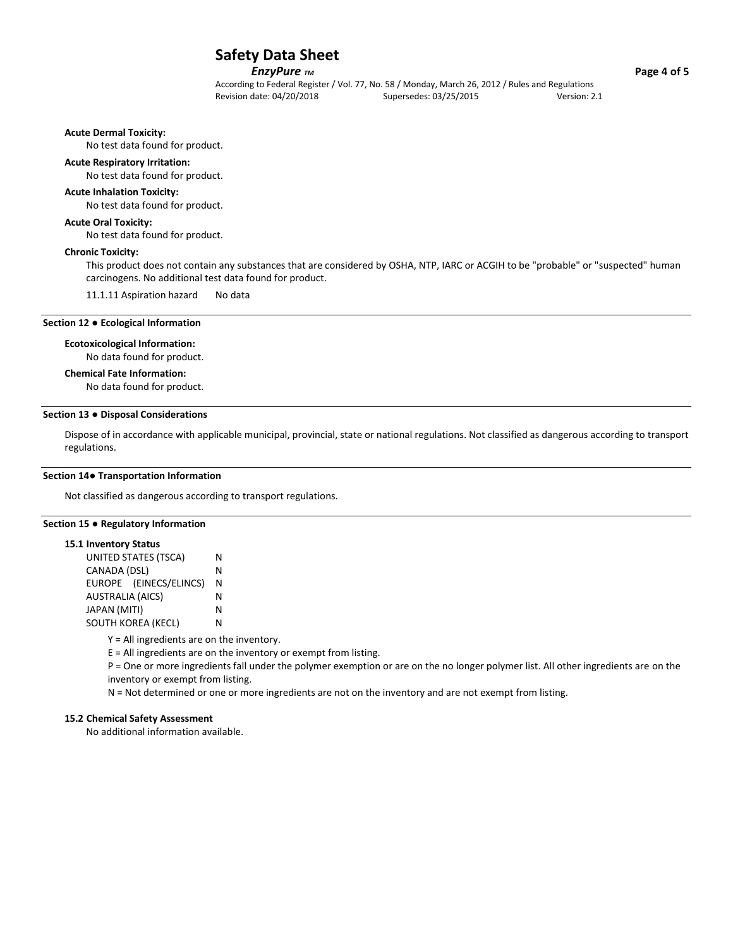## *EnzyPure**TM* **<b>***Page 4 of 5*

According to Federal Register / Vol. 77, No. 58 / Monday, March 26, 2012 / Rules and Regulations Revision date: 04/20/2018 Supersedes: 03/25/2015 Version: 2.1

**Acute Dermal Toxicity:**

No test data found for product.

## **Acute Respiratory Irritation:**

No test data found for product.

#### **Acute Inhalation Toxicity:**

No test data found for product.

## **Acute Oral Toxicity:**

No test data found for product.

#### **Chronic Toxicity:**

This product does not contain any substances that are considered by OSHA, NTP, IARC or ACGIH to be "probable" or "suspected" human carcinogens. No additional test data found for product.

11.1.11 Aspiration hazard No data

## **Section 12 ● Ecological Information**

#### **Ecotoxicological Information:**

No data found for product.

## **Chemical Fate Information:**

No data found for product.

## **Section 13 ● Disposal Considerations**

Dispose of in accordance with applicable municipal, provincial, state or national regulations. Not classified as dangerous according to transport regulations.

#### **Section 14● Transportation Information**

Not classified as dangerous according to transport regulations.

#### **Section 15 ● Regulatory Information**

#### **15.1 Inventory Status**

| UNITED STATES (TSCA)    |   |  |
|-------------------------|---|--|
| CANADA (DSL)            | N |  |
| EUROPE (EINECS/ELINCS)  | Ν |  |
| <b>AUSTRALIA (AICS)</b> | N |  |
| JAPAN (MITI)            | N |  |
| SOUTH KOREA (KECL)      |   |  |

Y = All ingredients are on the inventory.

E = All ingredients are on the inventory or exempt from listing.

P = One or more ingredients fall under the polymer exemption or are on the no longer polymer list. All other ingredients are on the inventory or exempt from listing.

N = Not determined or one or more ingredients are not on the inventory and are not exempt from listing.

## **15.2 Chemical Safety Assessment**

No additional information available.